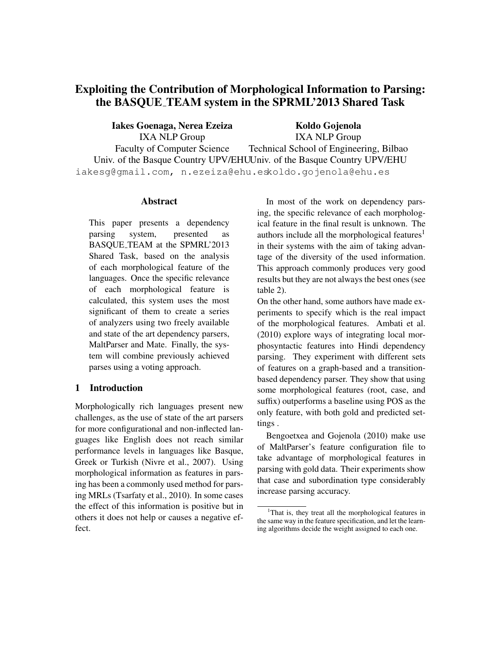# Exploiting the Contribution of Morphological Information to Parsing: the BASQUE TEAM system in the SPRML'2013 Shared Task

Iakes Goenaga, Nerea Ezeiza IXA NLP Group

Faculty of Computer Science

Univ. of the Basque Country UPV/EHU Univ. of the Basque Country UPV/EHU Koldo Gojenola IXA NLP Group Technical School of Engineering, Bilbao

iakesg@gmail.com, n.ezeiza@ehu.es koldo.gojenola@ehu.es

# Abstract

This paper presents a dependency parsing system, presented as BASQUE TEAM at the SPMRL'2013 Shared Task, based on the analysis of each morphological feature of the languages. Once the specific relevance of each morphological feature is calculated, this system uses the most significant of them to create a series of analyzers using two freely available and state of the art dependency parsers, MaltParser and Mate. Finally, the system will combine previously achieved parses using a voting approach.

# 1 Introduction

Morphologically rich languages present new challenges, as the use of state of the art parsers for more configurational and non-inflected languages like English does not reach similar performance levels in languages like Basque, Greek or Turkish (Nivre et al., 2007). Using morphological information as features in parsing has been a commonly used method for parsing MRLs (Tsarfaty et al., 2010). In some cases the effect of this information is positive but in others it does not help or causes a negative effect.

In most of the work on dependency parsing, the specific relevance of each morphological feature in the final result is unknown. The authors include all the morphological features<sup>1</sup> in their systems with the aim of taking advantage of the diversity of the used information. This approach commonly produces very good results but they are not always the best ones (see table 2).

On the other hand, some authors have made experiments to specify which is the real impact of the morphological features. Ambati et al. (2010) explore ways of integrating local morphosyntactic features into Hindi dependency parsing. They experiment with different sets of features on a graph-based and a transitionbased dependency parser. They show that using some morphological features (root, case, and suffix) outperforms a baseline using POS as the only feature, with both gold and predicted settings .

Bengoetxea and Gojenola (2010) make use of MaltParser's feature configuration file to take advantage of morphological features in parsing with gold data. Their experiments show that case and subordination type considerably increase parsing accuracy.

<sup>&</sup>lt;sup>1</sup>That is, they treat all the morphological features in the same way in the feature specification, and let the learning algorithms decide the weight assigned to each one.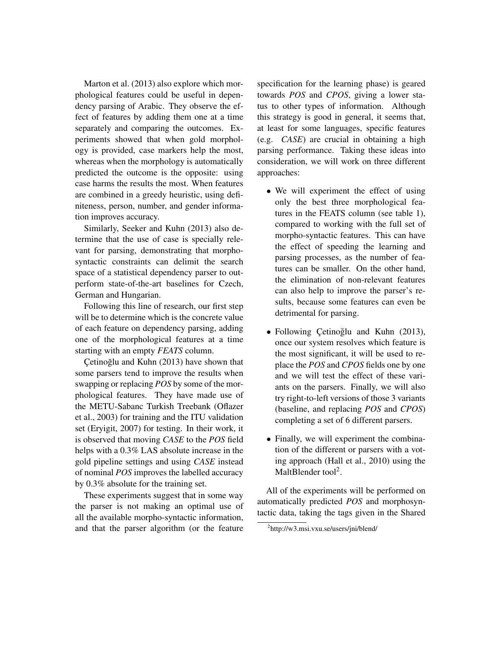Marton et al. (2013) also explore which morphological features could be useful in dependency parsing of Arabic. They observe the effect of features by adding them one at a time separately and comparing the outcomes. Experiments showed that when gold morphology is provided, case markers help the most, whereas when the morphology is automatically predicted the outcome is the opposite: using case harms the results the most. When features are combined in a greedy heuristic, using definiteness, person, number, and gender information improves accuracy.

Similarly, Seeker and Kuhn (2013) also determine that the use of case is specially relevant for parsing, demonstrating that morphosyntactic constraints can delimit the search space of a statistical dependency parser to outperform state-of-the-art baselines for Czech, German and Hungarian.

Following this line of research, our first step will be to determine which is the concrete value of each feature on dependency parsing, adding one of the morphological features at a time starting with an empty *FEATS* column.

Çetinoğlu and Kuhn (2013) have shown that some parsers tend to improve the results when swapping or replacing *POS* by some of the morphological features. They have made use of the METU-Sabanc Turkish Treebank (Oflazer et al., 2003) for training and the ITU validation set (Eryigit, 2007) for testing. In their work, it is observed that moving *CASE* to the *POS* field helps with a 0.3% LAS absolute increase in the gold pipeline settings and using *CASE* instead of nominal *POS* improves the labelled accuracy by 0.3% absolute for the training set.

These experiments suggest that in some way the parser is not making an optimal use of all the available morpho-syntactic information, and that the parser algorithm (or the feature

specification for the learning phase) is geared towards *POS* and *CPOS*, giving a lower status to other types of information. Although this strategy is good in general, it seems that, at least for some languages, specific features (e.g. *CASE*) are crucial in obtaining a high parsing performance. Taking these ideas into consideration, we will work on three different approaches:

- We will experiment the effect of using only the best three morphological features in the FEATS column (see table 1), compared to working with the full set of morpho-syntactic features. This can have the effect of speeding the learning and parsing processes, as the number of features can be smaller. On the other hand, the elimination of non-relevant features can also help to improve the parser's results, because some features can even be detrimental for parsing.
- Following Çetinoğlu and Kuhn (2013), once our system resolves which feature is the most significant, it will be used to replace the *POS* and *CPOS* fields one by one and we will test the effect of these variants on the parsers. Finally, we will also try right-to-left versions of those 3 variants (baseline, and replacing *POS* and *CPOS*) completing a set of 6 different parsers.
- Finally, we will experiment the combination of the different or parsers with a voting approach (Hall et al., 2010) using the MaltBlender tool<sup>2</sup>.

All of the experiments will be performed on automatically predicted *POS* and morphosyntactic data, taking the tags given in the Shared

<sup>&</sup>lt;sup>2</sup>http://w3.msi.vxu.se/users/jni/blend/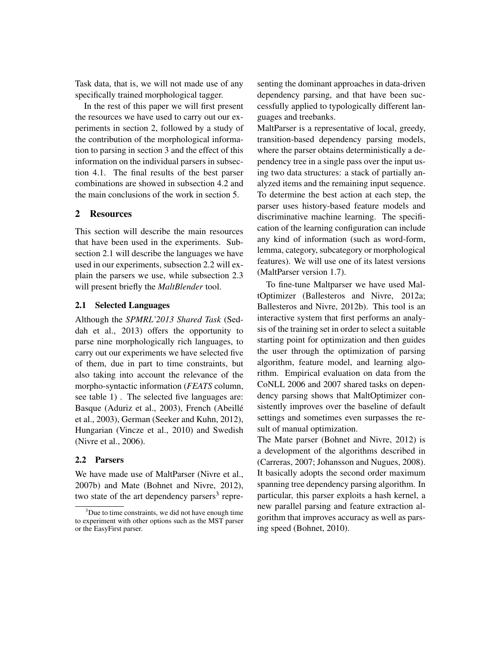Task data, that is, we will not made use of any specifically trained morphological tagger.

In the rest of this paper we will first present the resources we have used to carry out our experiments in section 2, followed by a study of the contribution of the morphological information to parsing in section 3 and the effect of this information on the individual parsers in subsection 4.1. The final results of the best parser combinations are showed in subsection 4.2 and the main conclusions of the work in section 5.

# 2 Resources

This section will describe the main resources that have been used in the experiments. Subsection 2.1 will describe the languages we have used in our experiments, subsection 2.2 will explain the parsers we use, while subsection 2.3 will present briefly the *MaltBlender* tool.

### 2.1 Selected Languages

Although the *SPMRL'2013 Shared Task* (Seddah et al., 2013) offers the opportunity to parse nine morphologically rich languages, to carry out our experiments we have selected five of them, due in part to time constraints, but also taking into account the relevance of the morpho-syntactic information (*FEATS* column, see table 1) . The selected five languages are: Basque (Aduriz et al., 2003), French (Abeille´ et al., 2003), German (Seeker and Kuhn, 2012), Hungarian (Vincze et al., 2010) and Swedish (Nivre et al., 2006).

# 2.2 Parsers

We have made use of MaltParser (Nivre et al., 2007b) and Mate (Bohnet and Nivre, 2012), two state of the art dependency parsers<sup>3</sup> representing the dominant approaches in data-driven dependency parsing, and that have been successfully applied to typologically different languages and treebanks.

MaltParser is a representative of local, greedy, transition-based dependency parsing models, where the parser obtains deterministically a dependency tree in a single pass over the input using two data structures: a stack of partially analyzed items and the remaining input sequence. To determine the best action at each step, the parser uses history-based feature models and discriminative machine learning. The specification of the learning configuration can include any kind of information (such as word-form, lemma, category, subcategory or morphological features). We will use one of its latest versions (MaltParser version 1.7).

To fine-tune Maltparser we have used MaltOptimizer (Ballesteros and Nivre, 2012a; Ballesteros and Nivre, 2012b). This tool is an interactive system that first performs an analysis of the training set in order to select a suitable starting point for optimization and then guides the user through the optimization of parsing algorithm, feature model, and learning algorithm. Empirical evaluation on data from the CoNLL 2006 and 2007 shared tasks on dependency parsing shows that MaltOptimizer consistently improves over the baseline of default settings and sometimes even surpasses the result of manual optimization.

The Mate parser (Bohnet and Nivre, 2012) is a development of the algorithms described in (Carreras, 2007; Johansson and Nugues, 2008). It basically adopts the second order maximum spanning tree dependency parsing algorithm. In particular, this parser exploits a hash kernel, a new parallel parsing and feature extraction algorithm that improves accuracy as well as parsing speed (Bohnet, 2010).

 $3$ Due to time constraints, we did not have enough time to experiment with other options such as the MST parser or the EasyFirst parser.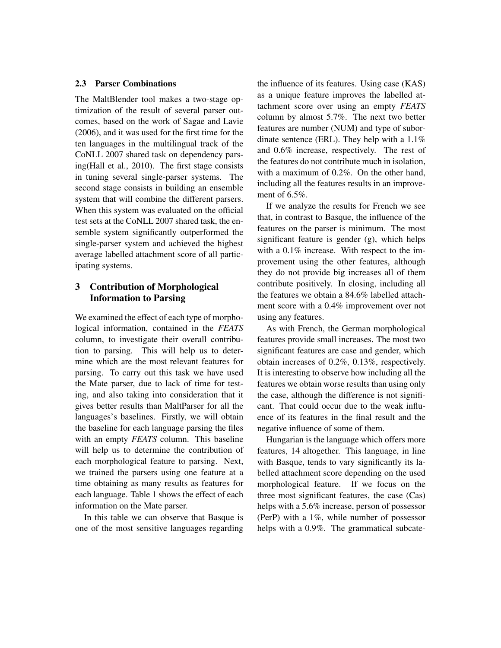### 2.3 Parser Combinations

The MaltBlender tool makes a two-stage optimization of the result of several parser outcomes, based on the work of Sagae and Lavie (2006), and it was used for the first time for the ten languages in the multilingual track of the CoNLL 2007 shared task on dependency parsing(Hall et al., 2010). The first stage consists in tuning several single-parser systems. The second stage consists in building an ensemble system that will combine the different parsers. When this system was evaluated on the official test sets at the CoNLL 2007 shared task, the ensemble system significantly outperformed the single-parser system and achieved the highest average labelled attachment score of all participating systems.

# 3 Contribution of Morphological Information to Parsing

We examined the effect of each type of morphological information, contained in the *FEATS* column, to investigate their overall contribution to parsing. This will help us to determine which are the most relevant features for parsing. To carry out this task we have used the Mate parser, due to lack of time for testing, and also taking into consideration that it gives better results than MaltParser for all the languages's baselines. Firstly, we will obtain the baseline for each language parsing the files with an empty *FEATS* column. This baseline will help us to determine the contribution of each morphological feature to parsing. Next, we trained the parsers using one feature at a time obtaining as many results as features for each language. Table 1 shows the effect of each information on the Mate parser.

In this table we can observe that Basque is one of the most sensitive languages regarding the influence of its features. Using case (KAS) as a unique feature improves the labelled attachment score over using an empty *FEATS* column by almost 5.7%. The next two better features are number (NUM) and type of subordinate sentence (ERL). They help with a 1.1% and 0.6% increase, respectively. The rest of the features do not contribute much in isolation, with a maximum of 0.2%. On the other hand, including all the features results in an improvement of 6.5%.

If we analyze the results for French we see that, in contrast to Basque, the influence of the features on the parser is minimum. The most significant feature is gender (g), which helps with a 0.1% increase. With respect to the improvement using the other features, although they do not provide big increases all of them contribute positively. In closing, including all the features we obtain a 84.6% labelled attachment score with a 0.4% improvement over not using any features.

As with French, the German morphological features provide small increases. The most two significant features are case and gender, which obtain increases of 0.2%, 0.13%, respectively. It is interesting to observe how including all the features we obtain worse results than using only the case, although the difference is not significant. That could occur due to the weak influence of its features in the final result and the negative influence of some of them.

Hungarian is the language which offers more features, 14 altogether. This language, in line with Basque, tends to vary significantly its labelled attachment score depending on the used morphological feature. If we focus on the three most significant features, the case (Cas) helps with a 5.6% increase, person of possessor (PerP) with a 1%, while number of possessor helps with a 0.9%. The grammatical subcate-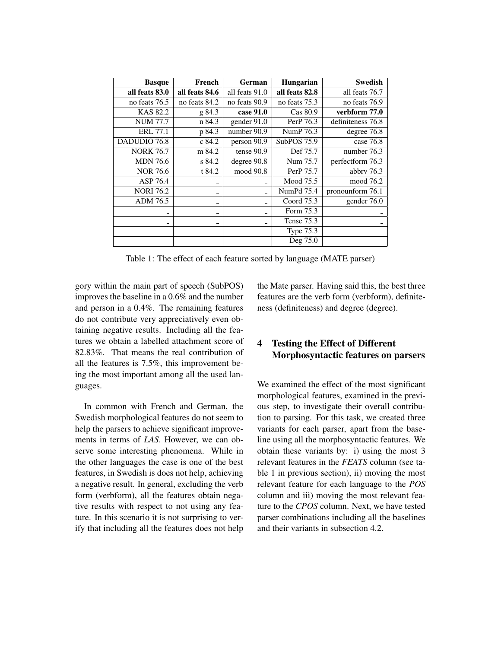| <b>Basque</b>    | French                   | German         | <b>Hungarian</b> | <b>Swedish</b>    |
|------------------|--------------------------|----------------|------------------|-------------------|
| all feats 83.0   | all feats 84.6           | all feats 91.0 | all feats 82.8   | all feats 76.7    |
| no feats 76.5    | no feats 84.2            | no feats 90.9  | no feats 75.3    | no feats 76.9     |
| KAS 82.2         | g 84.3                   | case 91.0      | Cas 80.9         | verbform 77.0     |
| <b>NUM 77.7</b>  | n 84.3                   | gender 91.0    | PerP 76.3        | definiteness 76.8 |
| <b>ERL 77.1</b>  | p 84.3                   | number 90.9    | NumP 76.3        | degree 76.8       |
| DADUDIO 76.8     | c 84.2                   | person 90.9    | SubPOS 75.9      | case $76.8$       |
| <b>NORK 76.7</b> | m 84.2                   | tense 90.9     | Def 75.7         | number 76.3       |
| <b>MDN</b> 76.6  | s 84.2                   | degree 90.8    | Num 75.7         | perfectform 76.3  |
| <b>NOR 76.6</b>  | t 84.2                   | mood 90.8      | PerP 75.7        | abbry $76.3$      |
| ASP 76.4         |                          |                | Mood 75.5        | mood 76.2         |
| <b>NORI 76.2</b> |                          |                | NumPd 75.4       | pronounform 76.1  |
| ADM 76.5         | $\overline{\phantom{0}}$ |                | Coord 75.3       | gender 76.0       |
|                  | -                        |                | Form 75.3        |                   |
|                  | ۰                        |                | Tense 75.3       |                   |
| -                | $\overline{\phantom{0}}$ |                | <b>Type 75.3</b> |                   |
|                  |                          |                | Deg 75.0         |                   |

Table 1: The effect of each feature sorted by language (MATE parser)

gory within the main part of speech (SubPOS) improves the baseline in a 0.6% and the number and person in a 0.4%. The remaining features do not contribute very appreciatively even obtaining negative results. Including all the features we obtain a labelled attachment score of 82.83%. That means the real contribution of all the features is 7.5%, this improvement being the most important among all the used languages.

In common with French and German, the Swedish morphological features do not seem to help the parsers to achieve significant improvements in terms of *LAS*. However, we can observe some interesting phenomena. While in the other languages the case is one of the best features, in Swedish is does not help, achieving a negative result. In general, excluding the verb form (verbform), all the features obtain negative results with respect to not using any feature. In this scenario it is not surprising to verify that including all the features does not help the Mate parser. Having said this, the best three features are the verb form (verbform), definiteness (definiteness) and degree (degree).

# 4 Testing the Effect of Different Morphosyntactic features on parsers

We examined the effect of the most significant morphological features, examined in the previous step, to investigate their overall contribution to parsing. For this task, we created three variants for each parser, apart from the baseline using all the morphosyntactic features. We obtain these variants by: i) using the most 3 relevant features in the *FEATS* column (see table 1 in previous section), ii) moving the most relevant feature for each language to the *POS* column and iii) moving the most relevant feature to the *CPOS* column. Next, we have tested parser combinations including all the baselines and their variants in subsection 4.2.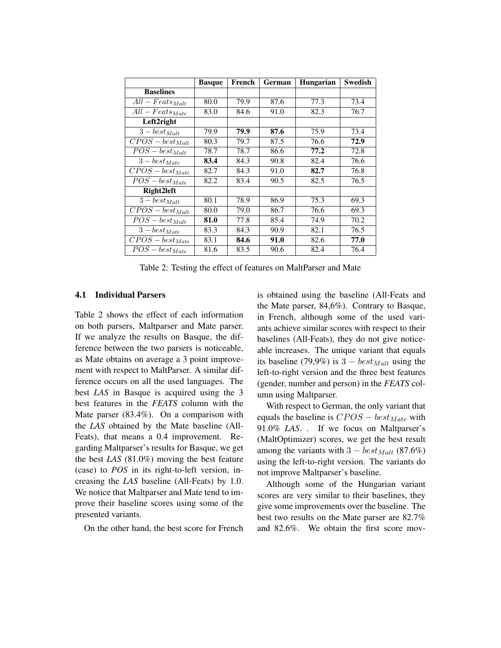|                                 | <b>Basque</b> | French | German | <b>Hungarian</b> | <b>Swedish</b> |
|---------------------------------|---------------|--------|--------|------------------|----------------|
| <b>Baselines</b>                |               |        |        |                  |                |
| $All - Facts_{Mult}$            | 80.0          | 79.9   | 87.6   | 77.3             | 73.4           |
| $All - Facts_{Mate}$            | 83.0          | 84.6   | 91.0   | 82.3             | 76.7           |
| Left2right                      |               |        |        |                  |                |
| $\overline{3 - best_{Mult}}$    | 79.9          | 79.9   | 87.6   | 75.9             | 73.4           |
| $CPOS - best_{Malt}$            | 80.3          | 79.7   | 87.5   | 76.6             | 72.9           |
| $\overline{POS} - best_{Mult}$  | 78.7          | 78.7   | 86.6   | 77.2             | 72.8           |
| $\overline{3 - best}_{Mate}$    | 83.4          | 84.3   | 90.8   | 82.4             | 76.6           |
| $\overline{CPOS} - best_{Mate}$ | 82.7          | 84.3   | 91.0   | 82.7             | 76.8           |
| $POS - best_{Mate}$             | 82.2          | 83.4   | 90.5   | 82.5             | 76.5           |
| Right2left                      |               |        |        |                  |                |
| $\overline{3}-best_{Malt}$      | 80.1          | 78.9   | 86.9   | 75.3             | 69.3           |
| $CPOS - best_{Malt}$            | 80.0          | 79.0   | 86.7   | 76.6             | 69.3           |
| $POS - best_{Mult}$             | 81.0          | 77.8   | 85.4   | 74.9             | 70.2           |
| $\overline{3-best_{Mate}}$      | 83.3          | 84.3   | 90.9   | 82.1             | 76.5           |
| $\overline{CPOS} - best_{Mate}$ | 83.1          | 84.6   | 91.0   | 82.6             | 77.0           |
| $\overline{POS} - best_{Mate}$  | 81.6          | 83.5   | 90.6   | 82.4             | 76.4           |

Table 2: Testing the effect of features on MaltParser and Mate

### 4.1 Individual Parsers

Table 2 shows the effect of each information on both parsers, Maltparser and Mate parser. If we analyze the results on Basque, the difference between the two parsers is noticeable, as Mate obtains on average a 3 point improvement with respect to MaltParser. A similar difference occurs on all the used languages. The best *LAS* in Basque is acquired using the 3 best features in the *FEATS* column with the Mate parser (83.4%). On a comparison with the *LAS* obtained by the Mate baseline (All-Feats), that means a 0.4 improvement. Regarding Maltparser's results for Basque, we get the best *LAS* (81.0%) moving the best feature (case) to *POS* in its right-to-left version, increasing the *LAS* baseline (All-Feats) by 1.0. We notice that Maltparser and Mate tend to improve their baseline scores using some of the presented variants.

On the other hand, the best score for French

is obtained using the baseline (All-Feats and the Mate parser, 84,6%). Contrary to Basque, in French, although some of the used variants achieve similar scores with respect to their baselines (All-Feats), they do not give noticeable increases. The unique variant that equals its baseline (79,9%) is  $3 - best_{Malt}$  using the left-to-right version and the three best features (gender, number and person) in the *FEATS* column using Maltparser.

With respect to German, the only variant that equals the baseline is  $CPOS - best_{Mate}$  with 91.0% *LAS*. . If we focus on Maltparser's (MaltOptimizer) scores, we get the best result among the variants with  $3 - best_{Malt}$  (87.6%) using the left-to-right version. The variants do not improve Maltparser's baseline.

Although some of the Hungarian variant scores are very similar to their baselines, they give some improvements over the baseline. The best two results on the Mate parser are 82.7% and 82.6%. We obtain the first score mov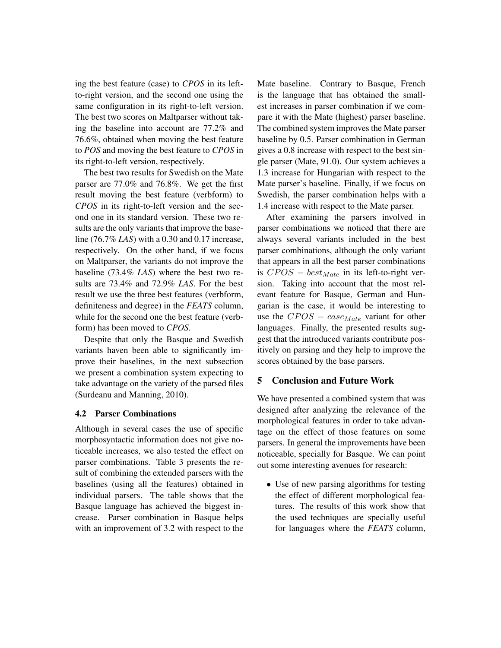ing the best feature (case) to *CPOS* in its leftto-right version, and the second one using the same configuration in its right-to-left version. The best two scores on Maltparser without taking the baseline into account are 77.2% and 76.6%, obtained when moving the best feature to *POS* and moving the best feature to *CPOS* in its right-to-left version, respectively.

The best two results for Swedish on the Mate parser are 77.0% and 76.8%. We get the first result moving the best feature (verbform) to *CPOS* in its right-to-left version and the second one in its standard version. These two results are the only variants that improve the baseline (76.7% *LAS*) with a 0.30 and 0.17 increase, respectively. On the other hand, if we focus on Maltparser, the variants do not improve the baseline (73.4% *LAS*) where the best two results are 73.4% and 72.9% *LAS*. For the best result we use the three best features (verbform, definiteness and degree) in the *FEATS* column, while for the second one the best feature (verbform) has been moved to *CPOS*.

Despite that only the Basque and Swedish variants haven been able to significantly improve their baselines, in the next subsection we present a combination system expecting to take advantage on the variety of the parsed files (Surdeanu and Manning, 2010).

# 4.2 Parser Combinations

Although in several cases the use of specific morphosyntactic information does not give noticeable increases, we also tested the effect on parser combinations. Table 3 presents the result of combining the extended parsers with the baselines (using all the features) obtained in individual parsers. The table shows that the Basque language has achieved the biggest increase. Parser combination in Basque helps with an improvement of 3.2 with respect to the Mate baseline. Contrary to Basque, French is the language that has obtained the smallest increases in parser combination if we compare it with the Mate (highest) parser baseline. The combined system improves the Mate parser baseline by 0.5. Parser combination in German gives a 0.8 increase with respect to the best single parser (Mate, 91.0). Our system achieves a 1.3 increase for Hungarian with respect to the Mate parser's baseline. Finally, if we focus on Swedish, the parser combination helps with a 1.4 increase with respect to the Mate parser.

After examining the parsers involved in parser combinations we noticed that there are always several variants included in the best parser combinations, although the only variant that appears in all the best parser combinations is  $CPOS - best_{Mate}$  in its left-to-right version. Taking into account that the most relevant feature for Basque, German and Hungarian is the case, it would be interesting to use the  $CPOS - case_{Mate}$  variant for other languages. Finally, the presented results suggest that the introduced variants contribute positively on parsing and they help to improve the scores obtained by the base parsers.

# 5 Conclusion and Future Work

We have presented a combined system that was designed after analyzing the relevance of the morphological features in order to take advantage on the effect of those features on some parsers. In general the improvements have been noticeable, specially for Basque. We can point out some interesting avenues for research:

• Use of new parsing algorithms for testing the effect of different morphological features. The results of this work show that the used techniques are specially useful for languages where the *FEATS* column,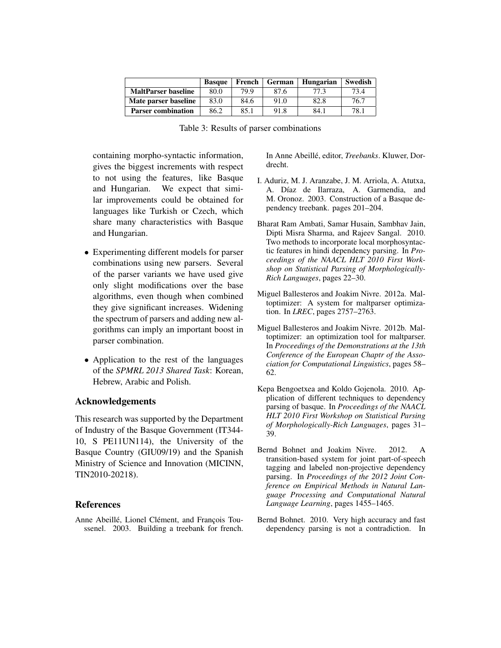|                            | <b>Basque</b> | French | German | Hungarian | Swedish |
|----------------------------|---------------|--------|--------|-----------|---------|
| <b>MaltParser baseline</b> | 80.0          | 79.9   | 87.6   | 77.3      | 73.4    |
| Mate parser baseline       | 83.0          | 84.6   | 91.0   | 82.8      | 76.7    |
| <b>Parser combination</b>  | 86.2          | 85.1   | 91.8   | 84.1      | 78.1    |

Table 3: Results of parser combinations

containing morpho-syntactic information, gives the biggest increments with respect to not using the features, like Basque and Hungarian. We expect that similar improvements could be obtained for languages like Turkish or Czech, which share many characteristics with Basque and Hungarian.

- Experimenting different models for parser combinations using new parsers. Several of the parser variants we have used give only slight modifications over the base algorithms, even though when combined they give significant increases. Widening the spectrum of parsers and adding new algorithms can imply an important boost in parser combination.
- Application to the rest of the languages of the *SPMRL 2013 Shared Task*: Korean, Hebrew, Arabic and Polish.

# Acknowledgements

This research was supported by the Department of Industry of the Basque Government (IT344- 10, S PE11UN114), the University of the Basque Country (GIU09/19) and the Spanish Ministry of Science and Innovation (MICINN, TIN2010-20218).

# References

Anne Abeillé, Lionel Clément, and François Toussenel. 2003. Building a treebank for french. In Anne Abeillé, editor, *Treebanks*. Kluwer, Dordrecht.

- I. Aduriz, M. J. Aranzabe, J. M. Arriola, A. Atutxa, A. Díaz de Ilarraza, A. Garmendia, and M. Oronoz. 2003. Construction of a Basque dependency treebank. pages 201–204.
- Bharat Ram Ambati, Samar Husain, Sambhav Jain, Dipti Misra Sharma, and Rajeev Sangal. 2010. Two methods to incorporate local morphosyntactic features in hindi dependency parsing. In *Proceedings of the NAACL HLT 2010 First Workshop on Statistical Parsing of Morphologically-Rich Languages*, pages 22–30.
- Miguel Ballesteros and Joakim Nivre. 2012a. Maltoptimizer: A system for maltparser optimization. In *LREC*, pages 2757–2763.
- Miguel Ballesteros and Joakim Nivre. 2012b. Maltoptimizer: an optimization tool for maltparser. In *Proceedings of the Demonstrations at the 13th Conference of the European Chaptr of the Association for Computational Linguistics*, pages 58– 62.
- Kepa Bengoetxea and Koldo Gojenola. 2010. Application of different techniques to dependency parsing of basque. In *Proceedings of the NAACL HLT 2010 First Workshop on Statistical Parsing of Morphologically-Rich Languages*, pages 31– 39.
- Bernd Bohnet and Joakim Nivre. 2012. A transition-based system for joint part-of-speech tagging and labeled non-projective dependency parsing. In *Proceedings of the 2012 Joint Conference on Empirical Methods in Natural Language Processing and Computational Natural Language Learning*, pages 1455–1465.
- Bernd Bohnet. 2010. Very high accuracy and fast dependency parsing is not a contradiction. In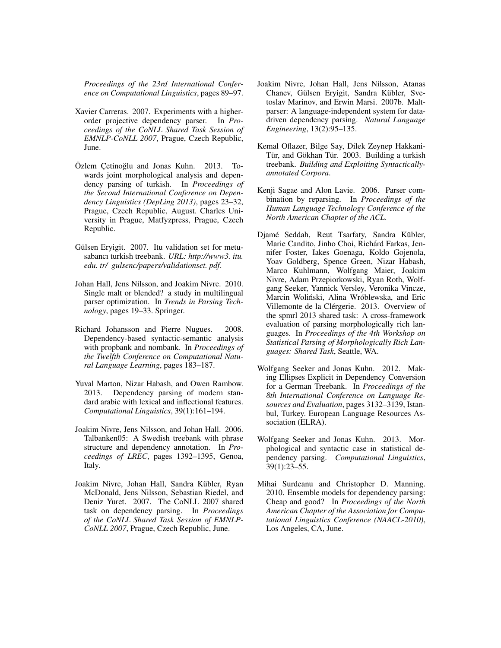*Proceedings of the 23rd International Conference on Computational Linguistics*, pages 89–97.

- Xavier Carreras. 2007. Experiments with a higherorder projective dependency parser. In *Proceedings of the CoNLL Shared Task Session of EMNLP-CoNLL 2007*, Prague, Czech Republic, June.
- Özlem Cetinoğlu and Jonas Kuhn. 2013. Towards joint morphological analysis and dependency parsing of turkish. In *Proceedings of the Second International Conference on Dependency Linguistics (DepLing 2013)*, pages 23–32, Prague, Czech Republic, August. Charles University in Prague, Matfyzpress, Prague, Czech Republic.
- Gülsen Eryigit. 2007. Itu validation set for metusabancı turkish treebank. *URL: http://www3. itu. edu. tr/ gulsenc/papers/validationset. pdf*.
- Johan Hall, Jens Nilsson, and Joakim Nivre. 2010. Single malt or blended? a study in multilingual parser optimization. In *Trends in Parsing Technology*, pages 19–33. Springer.
- Richard Johansson and Pierre Nugues. 2008. Dependency-based syntactic-semantic analysis with propbank and nombank. In *Proceedings of the Twelfth Conference on Computational Natural Language Learning*, pages 183–187.
- Yuval Marton, Nizar Habash, and Owen Rambow. 2013. Dependency parsing of modern standard arabic with lexical and inflectional features. *Computational Linguistics*, 39(1):161–194.
- Joakim Nivre, Jens Nilsson, and Johan Hall. 2006. Talbanken05: A Swedish treebank with phrase structure and dependency annotation. In *Proceedings of LREC*, pages 1392–1395, Genoa, Italy.
- Joakim Nivre, Johan Hall, Sandra Kübler, Ryan McDonald, Jens Nilsson, Sebastian Riedel, and Deniz Yuret. 2007. The CoNLL 2007 shared task on dependency parsing. In *Proceedings of the CoNLL Shared Task Session of EMNLP-CoNLL 2007*, Prague, Czech Republic, June.
- Joakim Nivre, Johan Hall, Jens Nilsson, Atanas Chanev, Gülsen Eryigit, Sandra Kübler, Svetoslav Marinov, and Erwin Marsi. 2007b. Maltparser: A language-independent system for datadriven dependency parsing. *Natural Language Engineering*, 13(2):95–135.
- Kemal Oflazer, Bilge Say, Dilek Zeynep Hakkani-Tür, and Gökhan Tür. 2003. Building a turkish treebank. *Building and Exploiting Syntacticallyannotated Corpora*.
- Kenji Sagae and Alon Lavie. 2006. Parser combination by reparsing. In *Proceedings of the Human Language Technology Conference of the North American Chapter of the ACL*.
- Djamé Seddah, Reut Tsarfaty, Sandra Kübler, Marie Candito, Jinho Choi, Richárd Farkas, Jennifer Foster, Iakes Goenaga, Koldo Gojenola, Yoav Goldberg, Spence Green, Nizar Habash, Marco Kuhlmann, Wolfgang Maier, Joakim Nivre, Adam Przepiorkowski, Ryan Roth, Wolfgang Seeker, Yannick Versley, Veronika Vincze, Marcin Woliński, Alina Wróblewska, and Eric Villemonte de la Clérgerie. 2013. Overview of the spmrl 2013 shared task: A cross-framework evaluation of parsing morphologically rich languages. In *Proceedings of the 4th Workshop on Statistical Parsing of Morphologically Rich Languages: Shared Task*, Seattle, WA.
- Wolfgang Seeker and Jonas Kuhn. 2012. Making Ellipses Explicit in Dependency Conversion for a German Treebank. In *Proceedings of the 8th International Conference on Language Resources and Evaluation*, pages 3132–3139, Istanbul, Turkey. European Language Resources Association (ELRA).
- Wolfgang Seeker and Jonas Kuhn. 2013. Morphological and syntactic case in statistical dependency parsing. *Computational Linguistics*, 39(1):23–55.
- Mihai Surdeanu and Christopher D. Manning. 2010. Ensemble models for dependency parsing: Cheap and good? In *Proceedings of the North American Chapter of the Association for Computational Linguistics Conference (NAACL-2010)*, Los Angeles, CA, June.